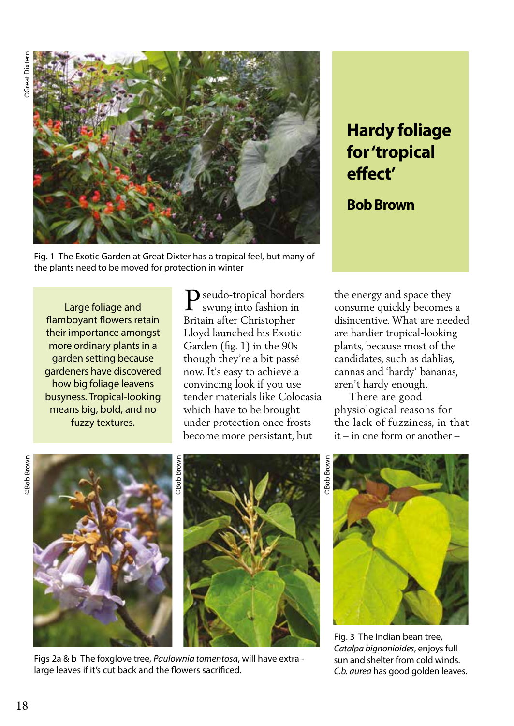

Fig. 1 The Exotic Garden at Great Dixter has a tropical feel, but many of the plants need to be moved for protection in winter

Large foliage and flamboyant flowers retain their importance amongst more ordinary plants in a garden setting because gardeners have discovered how big foliage leavens busyness. Tropical-looking means big, bold, and no fuzzy textures.

 $\label{eq:power_law} \mathbf{P}^{\text{seudo-tropical borders}}_{\text{swung into fashion in}}$ swung into fashion in Britain after Christopher Lloyd launched his Exotic Garden (fig. 1) in the 90s though they're a bit passé now. It's easy to achieve a convincing look if you use tender materials like Colocasia which have to be brought under protection once frosts become more persistant, but

## **Hardy foliage for 'tropical effect'**

**Bob Brown**

the energy and space they consume quickly becomes a disincentive. What are needed are hardier tropical-looking plants, because most of the candidates, such as dahlias, cannas and 'hardy' bananas, aren't hardy enough.

 There are good physiological reasons for the lack of fuzziness, in that it – in one form or another –







Figs 2a & b The foxglove tree, *Paulownia tomentosa*, will have extra large leaves if it's cut back and the flowers sacrificed.



Fig. 3 The Indian bean tree, *Catalpa bignonioides*, enjoys full sun and shelter from cold winds. *C.b. aurea* has good golden leaves.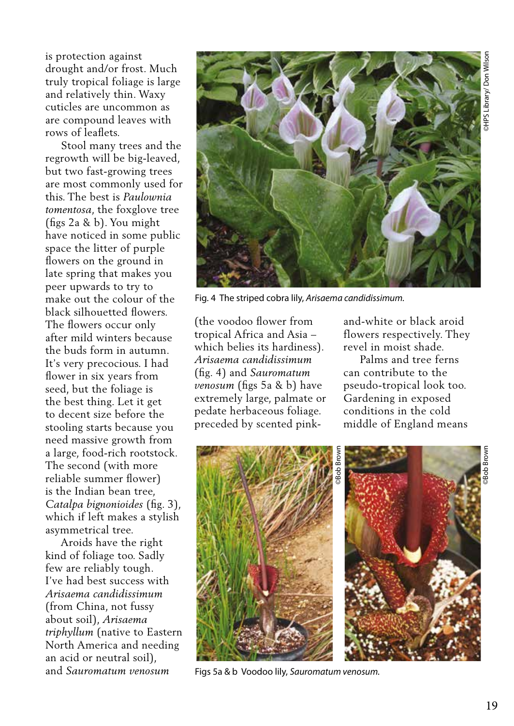is protection against drought and/or frost. Much truly tropical foliage is large and relatively thin. Waxy cuticles are uncommon as are compound leaves with rows of leaflets.

 Stool many trees and the regrowth will be big-leaved, but two fast-growing trees are most commonly used for this. The best is *Paulownia tomentosa*, the foxglove tree (figs 2a & b). You might have noticed in some public space the litter of purple flowers on the ground in late spring that makes you peer upwards to try to make out the colour of the black silhouetted flowers. The flowers occur only after mild winters because the buds form in autumn. It's very precocious. I had flower in six years from seed, but the foliage is the best thing. Let it get to decent size before the stooling starts because you need massive growth from a large, food-rich rootstock. The second (with more reliable summer flower) is the Indian bean tree, *Catalpa bignonioides* (fig. 3), which if left makes a stylish asymmetrical tree.

 Aroids have the right kind of foliage too. Sadly few are reliably tough. I've had best success with *Arisaema candidissimum*  (from China, not fussy about soil), *Arisaema triphyllum* (native to Eastern North America and needing an acid or neutral soil), and *Sauromatum venosum*



Fig. 4 The striped cobra lily, *Arisaema candidissimum.*

(the voodoo flower from tropical Africa and Asia – which belies its hardiness). *Arisaema candidissimum* (fig. 4) and *Sauromatum venosum* (figs 5a & b) have extremely large, palmate or pedate herbaceous foliage. preceded by scented pinkand-white or black aroid flowers respectively. They revel in moist shade.

 Palms and tree ferns can contribute to the pseudo-tropical look too. Gardening in exposed conditions in the cold middle of England means



Figs 5a & b Voodoo lily, *Sauromatum venosum.*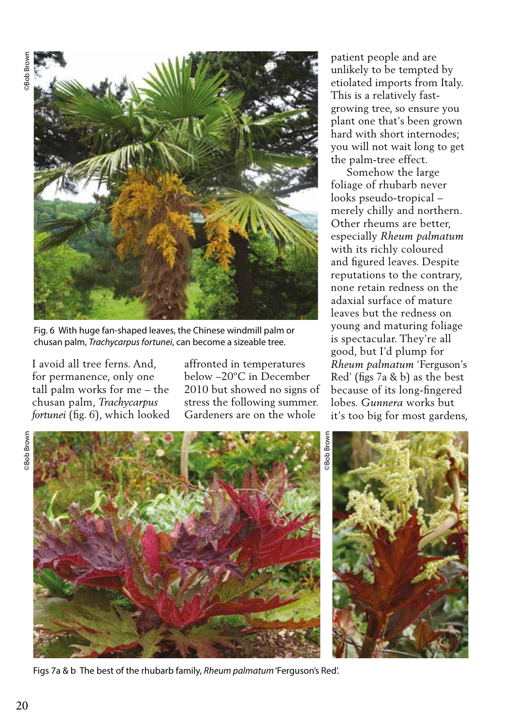

Fig. 6 With huge fan-shaped leaves, the Chinese windmill palm or chusan palm, *Trachycarpus fortunei*, can become a sizeable tree.

I avoid all tree ferns. And, for permanence, only one tall palm works for me – the chusan palm, *Trachycarpus fortunei* (fig. 6), which looked

affronted in temperatures below –20ºC in December 2010 but showed no signs of stress the following summer. Gardeners are on the whole

patient people and are unlikely to be tempted by etiolated imports from Italy. This is a relatively fastgrowing tree, so ensure you plant one that's been grown hard with short internodes; you will not wait long to get the palm-tree effect.

 Somehow the large foliage of rhubarb never looks pseudo-tropical – merely chilly and northern. Other rheums are better, especially *Rheum palmatum* with its richly coloured and figured leaves. Despite reputations to the contrary, none retain redness on the adaxial surface of mature leaves but the redness on young and maturing foliage is spectacular. They're all good, but I'd plump for *Rheum palmatum* 'Ferguson's Red' (figs 7a & b) as the best because of its long-fingered lobes. *Gunnera* works but it's too big for most gardens,





Figs 7a & b The best of the rhubarb family, *Rheum palmatum* 'Ferguson's Red'.

©Bob Brown **Bob Brown** 

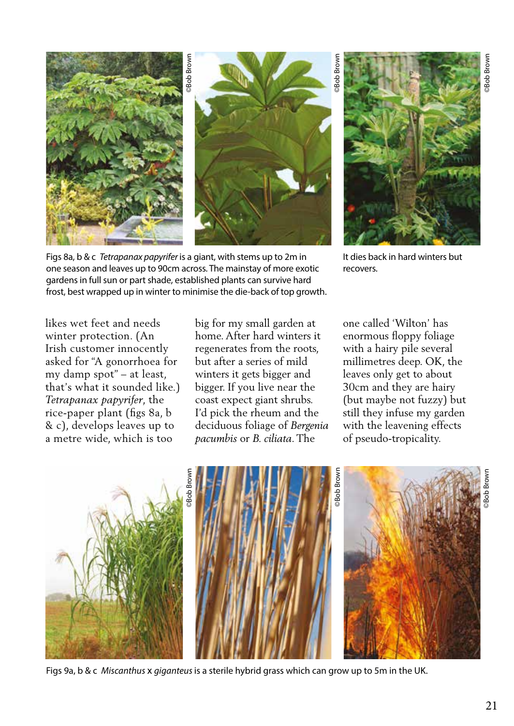

Figs 8a, b & c *Tetrapanax papyrifer* is a giant, with stems up to 2m in one season and leaves up to 90cm across. The mainstay of more exotic gardens in full sun or part shade, established plants can survive hard frost, best wrapped up in winter to minimise the die-back of top growth.



It dies back in hard winters but recovers.

likes wet feet and needs winter protection. (An Irish customer innocently asked for "A gonorrhoea for my damp spot" – at least, that's what it sounded like.) *Tetrapanax papyrifer*, the rice-paper plant (figs 8a, b & c), develops leaves up to a metre wide, which is too

big for my small garden at home. After hard winters it regenerates from the roots, but after a series of mild winters it gets bigger and bigger. If you live near the coast expect giant shrubs. I'd pick the rheum and the deciduous foliage of *Bergenia pacumbis* or *B. ciliata*. The

one called 'Wilton' has enormous floppy foliage with a hairy pile several millimetres deep. OK, the leaves only get to about 30cm and they are hairy (but maybe not fuzzy) but still they infuse my garden with the leavening effects of pseudo-tropicality.